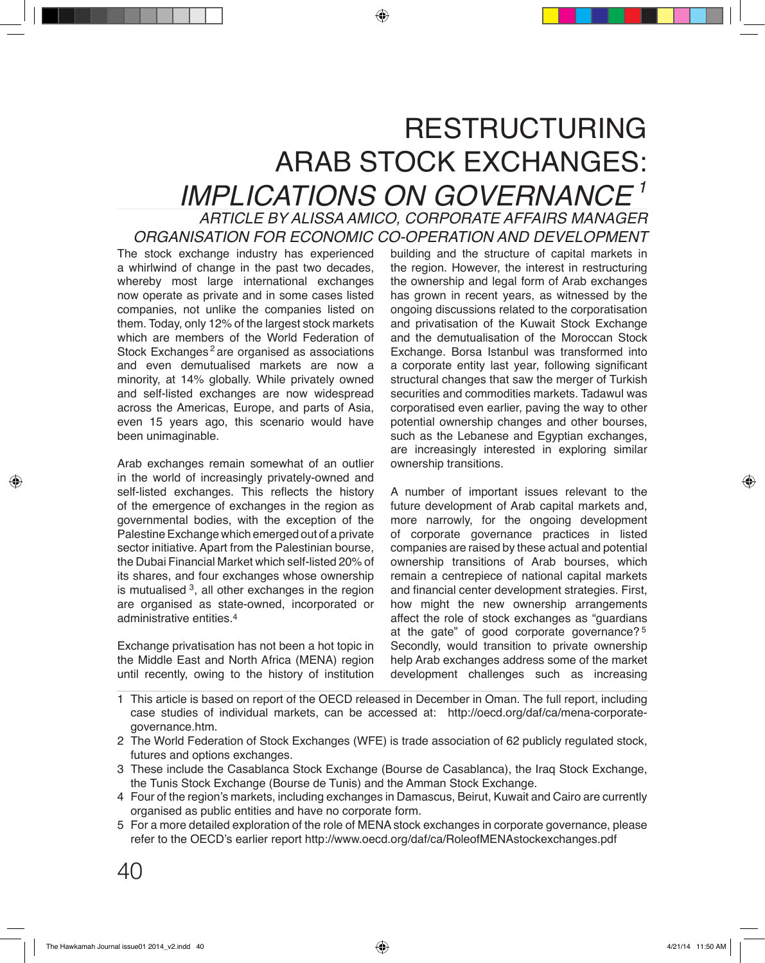## RESTRUCTURING ARAB STOCK EXCHANGES:

*IMPLICATIONS ON GOVERNANCE.. ARTICLE BY ALISSA AMICO, CORPORATE AFFAIRS MANAGER 1 ORGANISATION FOR ECONOMIC CO-OPERATION AND DEVELOPMENT*

The stock exchange industry has experienced a whirlwind of change in the past two decades, whereby most large international exchanges now operate as private and in some cases listed companies, not unlike the companies listed on them. Today, only 12% of the largest stock markets which are members of the World Federation of Stock Exchanges<sup>2</sup> are organised as associations and even demutualised markets are now a minority, at 14% globally. While privately owned and self-listed exchanges are now widespread across the Americas, Europe, and parts of Asia, even 15 years ago, this scenario would have been unimaginable.

Arab exchanges remain somewhat of an outlier in the world of increasingly privately-owned and self-listed exchanges. This reflects the history of the emergence of exchanges in the region as governmental bodies, with the exception of the Palestine Exchange which emerged out of a private sector initiative. Apart from the Palestinian bourse, the Dubai Financial Market which self-listed 20% of its shares, and four exchanges whose ownership is mutualised  $^3$ , all other exchanges in the region are organised as state-owned, incorporated or administrative entities. 4

Exchange privatisation has not been a hot topic in the Middle East and North Africa (MENA) region until recently, owing to the history of institution building and the structure of capital markets in the region. However, the interest in restructuring the ownership and legal form of Arab exchanges has grown in recent years, as witnessed by the ongoing discussions related to the corporatisation and privatisation of the Kuwait Stock Exchange and the demutualisation of the Moroccan Stock Exchange. Borsa Istanbul was transformed into a corporate entity last year, following significant structural changes that saw the merger of Turkish securities and commodities markets. Tadawul was corporatised even earlier, paving the way to other potential ownership changes and other bourses, such as the Lebanese and Egyptian exchanges, are increasingly interested in exploring similar ownership transitions.

A number of important issues relevant to the future development of Arab capital markets and, more narrowly, for the ongoing development of corporate governance practices in listed companies are raised by these actual and potential ownership transitions of Arab bourses, which remain a centrepiece of national capital markets and financial center development strategies. First, how might the new ownership arrangements affect the role of stock exchanges as "guardians at the gate" of good corporate governance? $5$ Secondly, would transition to private ownership help Arab exchanges address some of the market development challenges such as increasing

- This article is based on report of the OECD released in December in Oman. The full report, including 1 case studies of individual markets, can be accessed at: http://oecd.org/daf/ca/mena-corporategovernance.htm.
- The World Federation of Stock Exchanges (WFE) is trade association of 62 publicly regulated stock, 2 futures and options exchanges.
- These include the Casablanca Stock Exchange (Bourse de Casablanca), the Iraq Stock Exchange, 3 the Tunis Stock Exchange (Bourse de Tunis) and the Amman Stock Exchange.
- Four of the region's markets, including exchanges in Damascus, Beirut, Kuwait and Cairo are currently 4 organised as public entities and have no corporate form.
- For a more detailed exploration of the role of MENA stock exchanges in corporate governance, please 5 refer to the OECD's earlier report http://www.oecd.org/daf/ca/RoleofMENAstockexchanges.pdf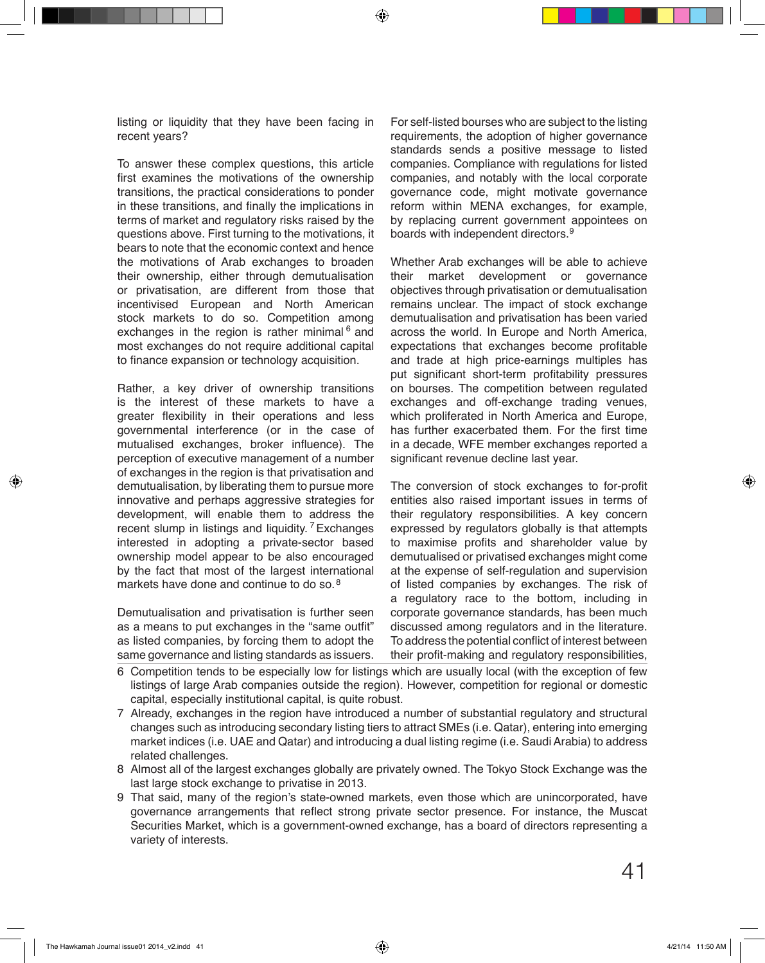listing or liquidity that they have been facing in recent years?

To answer these complex questions, this article first examines the motivations of the ownership transitions, the practical considerations to ponder in these transitions, and finally the implications in terms of market and regulatory risks raised by the questions above. First turning to the motivations, it bears to note that the economic context and hence the motivations of Arab exchanges to broaden their ownership, either through demutualisation or privatisation, are different from those that incentivised European and North American stock markets to do so. Competition among exchanges in the region is rather minimal <sup>6</sup> and most exchanges do not require additional capital to finance expansion or technology acquisition.

Rather, a key driver of ownership transitions is the interest of these markets to have a greater flexibility in their operations and less governmental interference (or in the case of mutualised exchanges, broker influence). The perception of executive management of a number of exchanges in the region is that privatisation and demutualisation, by liberating them to pursue more innovative and perhaps aggressive strategies for development, will enable them to address the recent slump in listings and liquidity. <sup>7</sup> Exchanges interested in adopting a private-sector based ownership model appear to be also encouraged by the fact that most of the largest international markets have done and continue to do so. 8

Demutualisation and privatisation is further seen as a means to put exchanges in the "same outfit" as listed companies, by forcing them to adopt the same governance and listing standards as issuers.

For self-listed bourses who are subject to the listing requirements, the adoption of higher governance standards sends a positive message to listed companies. Compliance with regulations for listed companies, and notably with the local corporate governance code, might motivate governance reform within MENA exchanges, for example, by replacing current government appointees on boards with independent directors.<sup>9</sup>

Whether Arab exchanges will be able to achieve their market development or governance objectives through privatisation or demutualisation remains unclear. The impact of stock exchange demutualisation and privatisation has been varied across the world. In Europe and North America, expectations that exchanges become profitable and trade at high price-earnings multiples has put significant short-term profitability pressures on bourses. The competition between regulated exchanges and off-exchange trading venues, which proliferated in North America and Europe, has further exacerbated them. For the first time in a decade, WFE member exchanges reported a significant revenue decline last year.

The conversion of stock exchanges to for-profit entities also raised important issues in terms of their regulatory responsibilities. A key concern expressed by regulators globally is that attempts to maximise profits and shareholder value by demutualised or privatised exchanges might come at the expense of self-regulation and supervision of listed companies by exchanges. The risk of a regulatory race to the bottom, including in corporate governance standards, has been much discussed among regulators and in the literature. To address the potential conflict of interest between their profit-making and regulatory responsibilities,

- $6\,$  Competition tends to be especially low for listings which are usually local (with the exception of few  $\,$ listings of large Arab companies outside the region). However, competition for regional or domestic capital, especially institutional capital, is quite robust.
- Already, exchanges in the region have introduced a number of substantial regulatory and structural 7 changes such as introducing secondary listing tiers to attract SMEs (i.e. Qatar), entering into emerging market indices (i.e. UAE and Qatar) and introducing a dual listing regime (i.e. Saudi Arabia) to address related challenges.
- Almost all of the largest exchanges globally are privately owned. The Tokyo Stock Exchange was the 8 last large stock exchange to privatise in 2013.
- That said, many of the region's state-owned markets, even those which are unincorporated, have 9 governance arrangements that reflect strong private sector presence. For instance, the Muscat Securities Market, which is a government-owned exchange, has a board of directors representing a variety of interests.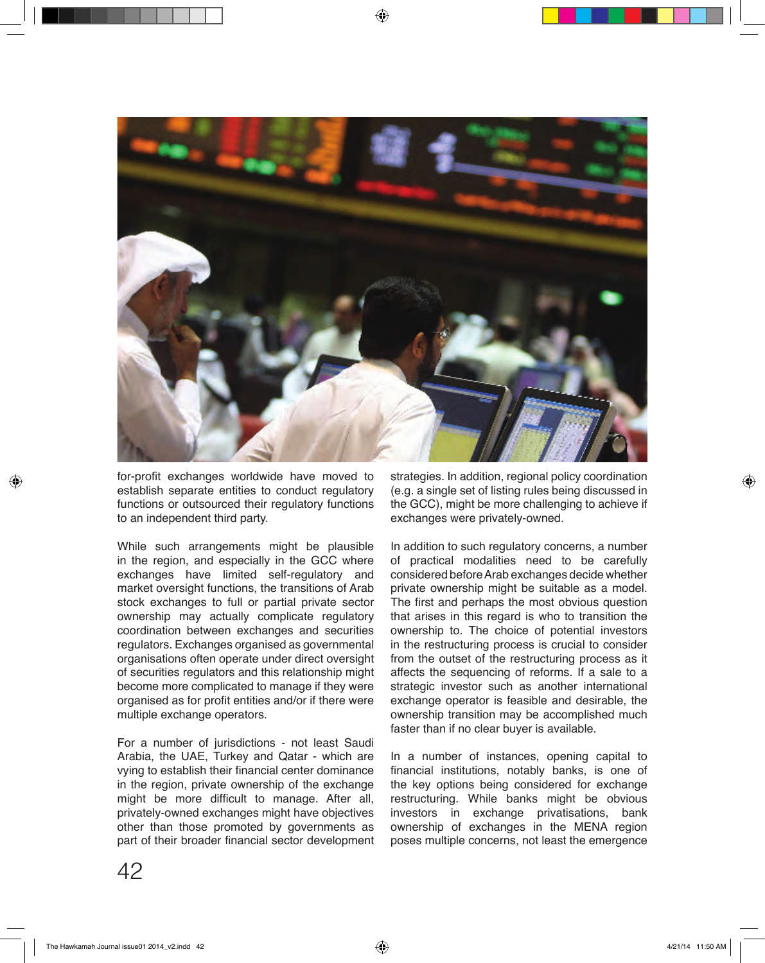

for-profit exchanges worldwide have moved to establish separate entities to conduct regulatory functions or outsourced their regulatory functions to an independent third party.

While such arrangements might be plausible in the region, and especially in the GCC where exchanges have limited self-regulatory and market oversight functions, the transitions of Arab stock exchanges to full or partial private sector ownership may actually complicate regulatory coordination between exchanges and securities regulators. Exchanges organised as governmental organisations often operate under direct oversight of securities regulators and this relationship might become more complicated to manage if they were organised as for profit entities and/or if there were multiple exchange operators.

For a number of jurisdictions - not least Saudi Arabia, the UAE, Turkey and Qatar - which are vying to establish their financial center dominance in the region, private ownership of the exchange might be more difficult to manage. After all, privately-owned exchanges might have objectives other than those promoted by governments as part of their broader financial sector development strategies. In addition, regional policy coordination (e.g. a single set of listing rules being discussed in the GCC), might be more challenging to achieve if exchanges were privately-owned.

In addition to such regulatory concerns, a number of practical modalities need to be carefully considered before Arab exchanges decide whether private ownership might be suitable as a model. The first and perhaps the most obvious question that arises in this regard is who to transition the ownership to. The choice of potential investors in the restructuring process is crucial to consider from the outset of the restructuring process as it affects the sequencing of reforms. If a sale to a strategic investor such as another international exchange operator is feasible and desirable, the ownership transition may be accomplished much faster than if no clear buyer is available.

In a number of instances, opening capital to financial institutions, notably banks, is one of the key options being considered for exchange restructuring. While banks might be obvious investors in exchange privatisations, bank ownership of exchanges in the MENA region poses multiple concerns, not least the emergence